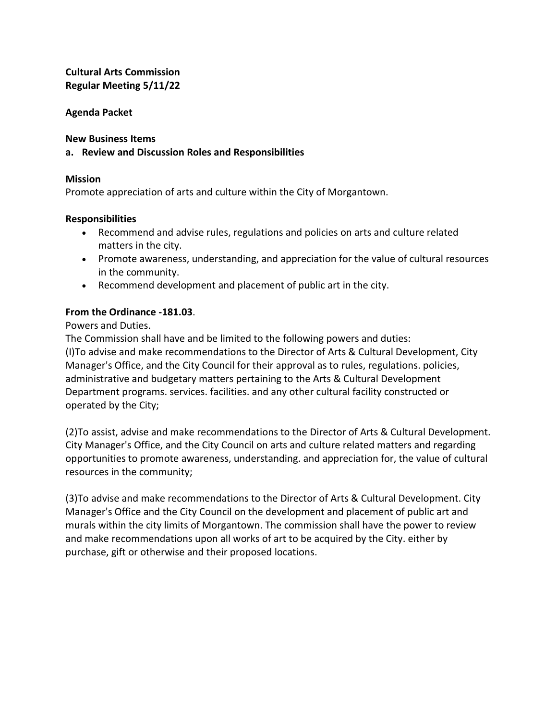### **Cultural Arts Commission Regular Meeting 5/11/22**

### **Agenda Packet**

**New Business Items**

### **a. Review and Discussion Roles and Responsibilities**

### **Mission**

Promote appreciation of arts and culture within the City of Morgantown.

### **Responsibilities**

- Recommend and advise rules, regulations and policies on arts and culture related matters in the city.
- Promote awareness, understanding, and appreciation for the value of cultural resources in the community.
- Recommend development and placement of public art in the city.

### **From the Ordinance -181.03**.

Powers and Duties.

The Commission shall have and be limited to the following powers and duties: (I)To advise and make recommendations to the Director of Arts & Cultural Development, City Manager's Office, and the City Council for their approval as to rules, regulations. policies, administrative and budgetary matters pertaining to the Arts & Cultural Development Department programs. services. facilities. and any other cultural facility constructed or operated by the City;

(2)To assist, advise and make recommendations to the Director of Arts & Cultural Development. City Manager's Office, and the City Council on arts and culture related matters and regarding opportunities to promote awareness, understanding. and appreciation for, the value of cultural resources in the community;

(3)To advise and make recommendations to the Director of Arts & Cultural Development. City Manager's Office and the City Council on the development and placement of public art and murals within the city limits of Morgantown. The commission shall have the power to review and make recommendations upon all works of art to be acquired by the City. either by purchase, gift or otherwise and their proposed locations.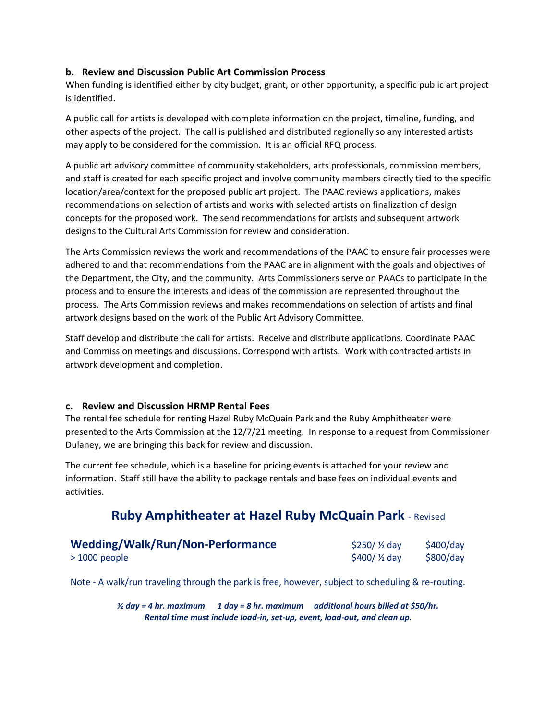#### **b. Review and Discussion Public Art Commission Process**

When funding is identified either by city budget, grant, or other opportunity, a specific public art project is identified.

A public call for artists is developed with complete information on the project, timeline, funding, and other aspects of the project. The call is published and distributed regionally so any interested artists may apply to be considered for the commission. It is an official RFQ process.

A public art advisory committee of community stakeholders, arts professionals, commission members, and staff is created for each specific project and involve community members directly tied to the specific location/area/context for the proposed public art project. The PAAC reviews applications, makes recommendations on selection of artists and works with selected artists on finalization of design concepts for the proposed work. The send recommendations for artists and subsequent artwork designs to the Cultural Arts Commission for review and consideration.

The Arts Commission reviews the work and recommendations of the PAAC to ensure fair processes were adhered to and that recommendations from the PAAC are in alignment with the goals and objectives of the Department, the City, and the community. Arts Commissioners serve on PAACs to participate in the process and to ensure the interests and ideas of the commission are represented throughout the process. The Arts Commission reviews and makes recommendations on selection of artists and final artwork designs based on the work of the Public Art Advisory Committee.

Staff develop and distribute the call for artists. Receive and distribute applications. Coordinate PAAC and Commission meetings and discussions. Correspond with artists. Work with contracted artists in artwork development and completion.

#### **c. Review and Discussion HRMP Rental Fees**

The rental fee schedule for renting Hazel Ruby McQuain Park and the Ruby Amphitheater were presented to the Arts Commission at the 12/7/21 meeting. In response to a request from Commissioner Dulaney, we are bringing this back for review and discussion.

The current fee schedule, which is a baseline for pricing events is attached for your review and information. Staff still have the ability to package rentals and base fees on individual events and activities.

# **Ruby Amphitheater at Hazel Ruby McQuain Park** - Revised

| Wedding/Walk/Run/Non-Performance | $$250/$ % day | $$400$ /day |
|----------------------------------|---------------|-------------|
| $>1000$ people                   | $$400/$ % day | \$800/day   |

Note - A walk/run traveling through the park is free, however, subject to scheduling & re-routing.

*½ day = 4 hr. maximum 1 day = 8 hr. maximum additional hours billed at \$50/hr. Rental time must include load-in, set-up, event, load-out, and clean up.*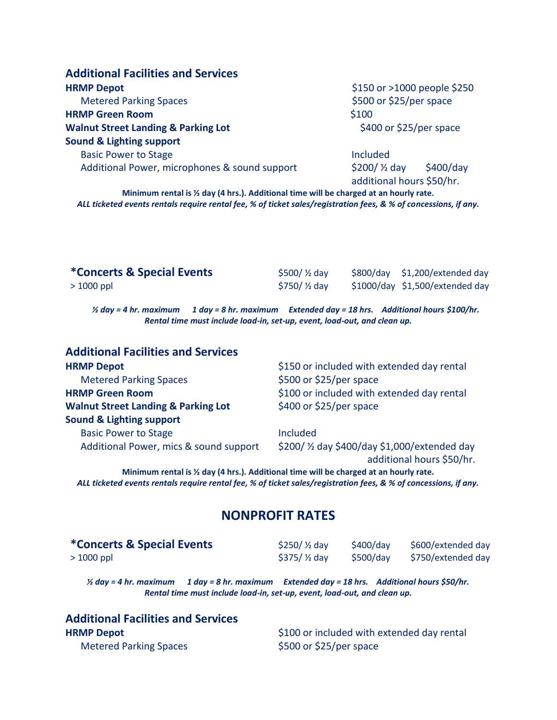| <b>Additional Facilities and Services</b>      |                                                                    |  |  |
|------------------------------------------------|--------------------------------------------------------------------|--|--|
| <b>HRMP Depot</b>                              | \$150 or >1000 people \$250                                        |  |  |
| <b>Metered Parking Spaces</b>                  | \$500 or \$25/per space                                            |  |  |
| <b>HRMP Green Room</b>                         | \$100                                                              |  |  |
| <b>Walnut Street Landing &amp; Parking Lot</b> | \$400 or \$25/per space                                            |  |  |
| <b>Sound &amp; Lighting support</b>            |                                                                    |  |  |
| <b>Basic Power to Stage</b>                    | Included                                                           |  |  |
| Additional Power, microphones & sound support  | \$200/ $\frac{1}{2}$ day<br>\$400/day<br>additional hours \$50/hr. |  |  |

**Minimum rental is ½ day (4 hrs.). Additional time will be charged at an hourly rate.** *ALL ticketed events rentals require rental fee, % of ticket sales/registration fees, & % of concessions, if any.*

| <i>*</i> Concerts & Special Events | \$500/ $\frac{1}{2}$ day | \$800/day \$1,200/extended day  |
|------------------------------------|--------------------------|---------------------------------|
| $>1000$ ppl                        | \$750/ $\frac{1}{2}$ day | \$1000/day \$1,500/extended day |

*½ day = 4 hr. maximum 1 day = 8 hr. maximum Extended day = 18 hrs. Additional hours \$100/hr. Rental time must include load-in, set-up, event, load-out, and clean up.*

| <b>Additional Facilities and Services</b>      |                                               |
|------------------------------------------------|-----------------------------------------------|
| <b>HRMP Depot</b>                              | \$150 or included with extended day rental    |
| <b>Metered Parking Spaces</b>                  | \$500 or \$25/per space                       |
| <b>HRMP Green Room</b>                         | \$100 or included with extended day rental    |
| <b>Walnut Street Landing &amp; Parking Lot</b> | \$400 or \$25/per space                       |
| <b>Sound &amp; Lighting support</b>            |                                               |
| <b>Basic Power to Stage</b>                    | <b>Included</b>                               |
| Additional Power, mics & sound support         | \$200/ 1/2 day \$400/day \$1,000/extended day |
|                                                | additional hours \$50/hr.                     |

**Minimum rental is ½ day (4 hrs.). Additional time will be charged at an hourly rate.** *ALL ticketed events rentals require rental fee, % of ticket sales/registration fees, & % of concessions, if any.*

# **NONPROFIT RATES**

| <b>*Concerts &amp; Special Events</b> | \$250/ $\frac{1}{2}$ day | \$400/dav | \$600/extended day |
|---------------------------------------|--------------------------|-----------|--------------------|
| > 1000 ppl                            | $$375/$ % day            | \$500/day | \$750/extended day |

*½ day = 4 hr. maximum 1 day = 8 hr. maximum Extended day = 18 hrs. Additional hours \$50/hr. Rental time must include load-in, set-up, event, load-out, and clean up.*

| <b>Additional Facilities and Services</b> |
|-------------------------------------------|
| <b>HRMP Depot</b>                         |
| <b>Metered Parking Spaces</b>             |

\$100 or included with extended day rental \$500 or \$25/per space